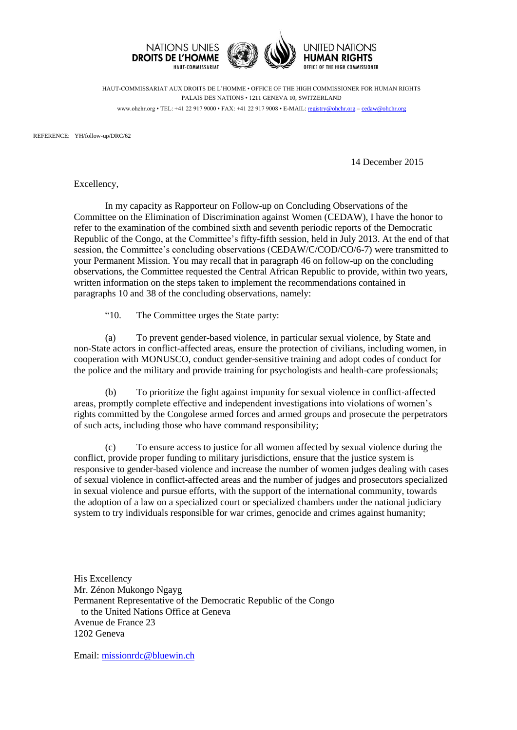

HAUT-COMMISSARIAT AUX DROITS DE L'HOMME • OFFICE OF THE HIGH COMMISSIONER FOR HUMAN RIGHTS PALAIS DES NATIONS • 1211 GENEVA 10, SWITZERLAND www.ohchr.org • TEL: +41 22 917 9000 • FAX: +41 22 917 9008 • E-MAIL: [registry@ohchr.org](mailto:registry@ohchr.org) – [cedaw@ohchr.org](mailto:cedaw@ohchr.org)

REFERENCE: YH/follow-up/DRC/62

14 December 2015

Excellency,

In my capacity as Rapporteur on Follow-up on Concluding Observations of the Committee on the Elimination of Discrimination against Women (CEDAW), I have the honor to refer to the examination of the combined sixth and seventh periodic reports of the Democratic Republic of the Congo, at the Committee's fifty-fifth session, held in July 2013. At the end of that session, the Committee's concluding observations (CEDAW/C/COD/CO/6-7) were transmitted to your Permanent Mission. You may recall that in paragraph 46 on follow-up on the concluding observations, the Committee requested the Central African Republic to provide, within two years, written information on the steps taken to implement the recommendations contained in paragraphs 10 and 38 of the concluding observations, namely:

"10. The Committee urges the State party:

(a) To prevent gender-based violence, in particular sexual violence, by State and non-State actors in conflict-affected areas, ensure the protection of civilians, including women, in cooperation with MONUSCO, conduct gender-sensitive training and adopt codes of conduct for the police and the military and provide training for psychologists and health-care professionals;

(b) To prioritize the fight against impunity for sexual violence in conflict-affected areas, promptly complete effective and independent investigations into violations of women's rights committed by the Congolese armed forces and armed groups and prosecute the perpetrators of such acts, including those who have command responsibility;

(c) To ensure access to justice for all women affected by sexual violence during the conflict, provide proper funding to military jurisdictions, ensure that the justice system is responsive to gender-based violence and increase the number of women judges dealing with cases of sexual violence in conflict-affected areas and the number of judges and prosecutors specialized in sexual violence and pursue efforts, with the support of the international community, towards the adoption of a law on a specialized court or specialized chambers under the national judiciary system to try individuals responsible for war crimes, genocide and crimes against humanity;

His Excellency Mr. Zénon Mukongo Ngayg Permanent Representative of the Democratic Republic of the Congo to the United Nations Office at Geneva Avenue de France 23 1202 Geneva

Email: [missionrdc@bluewin.ch](mailto:missionrdc@bluewin.ch)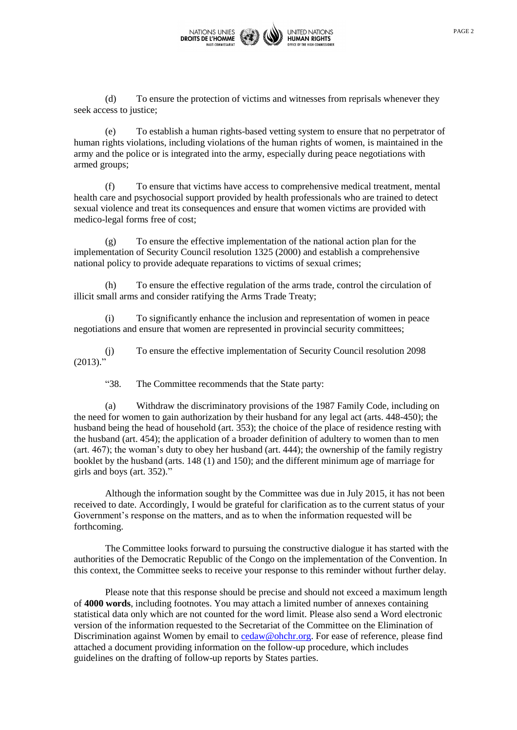

(d) To ensure the protection of victims and witnesses from reprisals whenever they seek access to justice;

(e) To establish a human rights-based vetting system to ensure that no perpetrator of human rights violations, including violations of the human rights of women, is maintained in the army and the police or is integrated into the army, especially during peace negotiations with armed groups;

(f) To ensure that victims have access to comprehensive medical treatment, mental health care and psychosocial support provided by health professionals who are trained to detect sexual violence and treat its consequences and ensure that women victims are provided with medico-legal forms free of cost;

(g) To ensure the effective implementation of the national action plan for the implementation of Security Council resolution 1325 (2000) and establish a comprehensive national policy to provide adequate reparations to victims of sexual crimes;

(h) To ensure the effective regulation of the arms trade, control the circulation of illicit small arms and consider ratifying the Arms Trade Treaty;

(i) To significantly enhance the inclusion and representation of women in peace negotiations and ensure that women are represented in provincial security committees;

(j) To ensure the effective implementation of Security Council resolution 2098  $(2013)$ ."

"38. The Committee recommends that the State party:

(a) Withdraw the discriminatory provisions of the 1987 Family Code, including on the need for women to gain authorization by their husband for any legal act (arts. 448-450); the husband being the head of household (art. 353); the choice of the place of residence resting with the husband (art. 454); the application of a broader definition of adultery to women than to men (art. 467); the woman's duty to obey her husband (art. 444); the ownership of the family registry booklet by the husband (arts. 148 (1) and 150); and the different minimum age of marriage for girls and boys (art. 352)."

Although the information sought by the Committee was due in July 2015, it has not been received to date. Accordingly, I would be grateful for clarification as to the current status of your Government's response on the matters, and as to when the information requested will be forthcoming.

The Committee looks forward to pursuing the constructive dialogue it has started with the authorities of the Democratic Republic of the Congo on the implementation of the Convention. In this context, the Committee seeks to receive your response to this reminder without further delay.

Please note that this response should be precise and should not exceed a maximum length of **4000 words**, including footnotes. You may attach a limited number of annexes containing statistical data only which are not counted for the word limit. Please also send a Word electronic version of the information requested to the Secretariat of the Committee on the Elimination of Discrimination against Women by email to [cedaw@ohchr.org.](mailto:cedaw@ohchr.org) For ease of reference, please find attached a document providing information on the follow-up procedure, which includes guidelines on the drafting of follow-up reports by States parties.